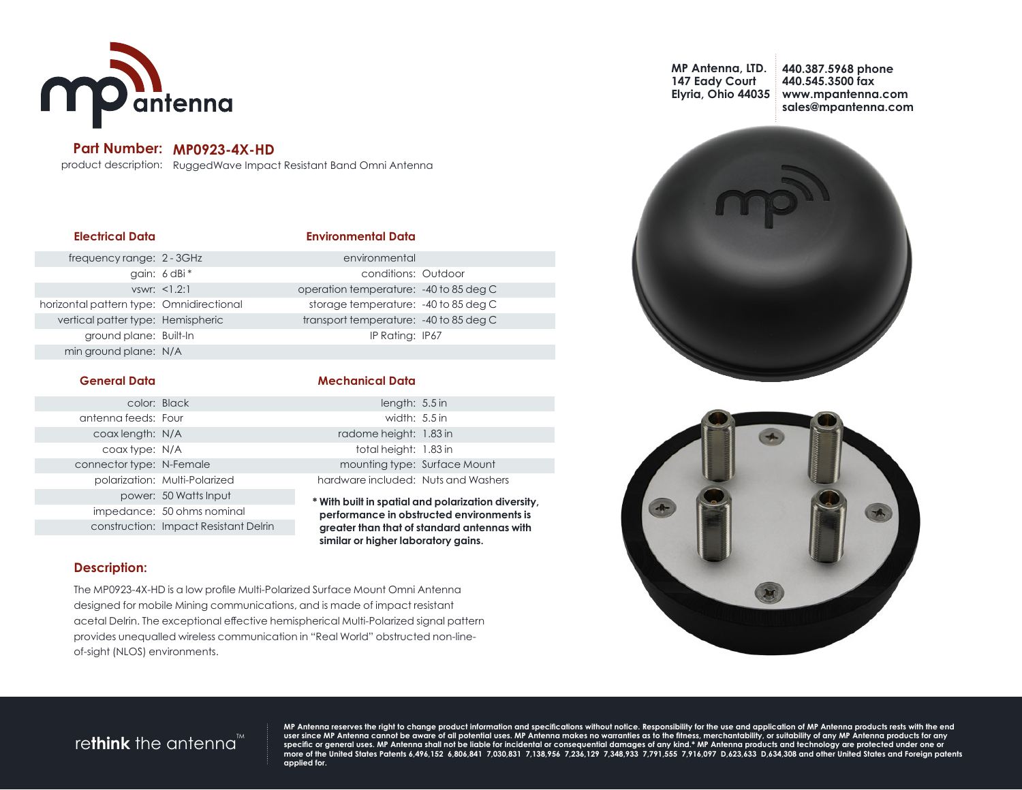

### **Part Number: MP0923-4X-HD**

product description: RuggedWave Impact Resistant Band Omni Antenna

| <b>Electrical Data</b>                   |              | <b>Environmental Data</b>               |  |
|------------------------------------------|--------------|-----------------------------------------|--|
| frequency range: 2 - 3GHz                |              | environmental                           |  |
|                                          | qain: 6 dBi* | conditions: Outdoor                     |  |
|                                          | vswr: <1.2:1 | operation temperature: -40 to 85 deg C  |  |
| horizontal pattern type: Omnidirectional |              | storage temperature: -40 to 85 deg C    |  |
| vertical patter type: Hemispheric        |              | transport temperature: - 40 to 85 deg C |  |
| ground plane: Built-In                   |              | IP Rating: IP67                         |  |
| min ground plane: N/A                    |              |                                         |  |
|                                          |              |                                         |  |

#### **General Data**

| <b>Mechanical Data</b> |  |  |  |  |  |  |
|------------------------|--|--|--|--|--|--|
|                        |  |  |  |  |  |  |

|                          | color: Black                  | length: $5.5$ in                    |                                                          |
|--------------------------|-------------------------------|-------------------------------------|----------------------------------------------------------|
| antenna feeds: Four      |                               | width: $5.5$ in                     |                                                          |
| coax length: N/A         |                               | radome height: 1.83 in              |                                                          |
| coax type: N/A           |                               | total height: 1.83 in               |                                                          |
| connector type: N-Female |                               | mounting type: Surface Mount        |                                                          |
|                          | polarization: Multi-Polarized | hardware included: Nuts and Washers |                                                          |
|                          | power: 50 Watts Input         |                                     | * \Afith_built in constitutional mail quitable attacking |

**\* With built in spatial and polarization diversity, performance in obstructed environments is greater than that of standard antennas with similar or higher laboratory gains.**

### **Description:**

The MP0923-4X-HD is a low profile Multi-Polarized Surface Mount Omni Antenna designed for mobile Mining communications, and is made of impact resistant acetal Delrin. The exceptional effective hemispherical Multi-Polarized signal pattern provides unequalled wireless communication in "Real World" obstructed non-lineof-sight (NLOS) environments.

**MP Antenna, LTD. 147 Eady Court Elyria, Ohio 44035** **440.387.5968 phone 440.545.3500 fax www.mpantenna.com sales@mpantenna.com**





## re**think** the antenna<sup>"</sup>

impedance: 50 ohms nominal construction: Impact Resistant Delrin

> MP Antenna reserves the right to change product information and specifications without notice. Responsibility for the use and application of MP Antenna products rests with the end<br>specific or general uses. MP Antenna shall **applied for.**